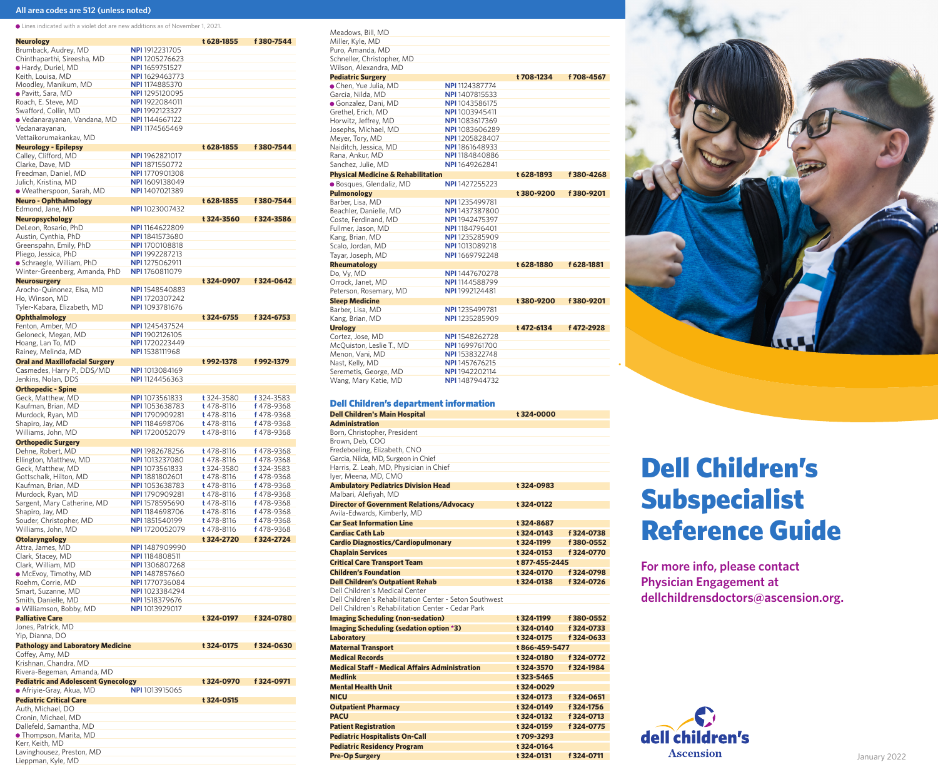## **All area codes are 512 (unless noted)**

Lines indicated with a violet dot are new additions as of November 1, 2021.

| <b>Neurology</b>                                    |                                                | t 628-1855 | f 380-7544 |
|-----------------------------------------------------|------------------------------------------------|------------|------------|
| Brumback, Audrey, MD                                | <b>NPI</b> 1912231705                          |            |            |
| Chinthaparthi, Sireesha, MD                         | <b>NPI</b> 1205276623                          |            |            |
| Hardy, Duriel, MD                                   | <b>NPI</b> 1659751527                          |            |            |
| Keith, Louisa, MD                                   | <b>NPI</b> 1629463773                          |            |            |
| Moodley, Manikum, MD                                | <b>NPI</b> 1174885370                          |            |            |
| ● Pavitt, Sara, MD                                  | <b>NPI</b> 1295120095                          |            |            |
| Roach, E. Steve, MD                                 | <b>NPI</b> 1922084011                          |            |            |
| Swafford, Collin, MD                                | NPI 1992123327                                 |            |            |
| ● Vedanarayanan, Vandana, MD                        | <b>NPI</b> 1144667122                          |            |            |
| Vedanarayanan,                                      | NPI 1174565469                                 |            |            |
| Vettaikorumakankav, MD                              |                                                |            | f 380-7544 |
| <b>Neurology - Epilepsy</b><br>Calley, Clifford, MD | NPI 1962821017                                 | t 628-1855 |            |
| Clarke, Dave, MD                                    | NPI 1871550772                                 |            |            |
| Freedman, Daniel, MD                                | <b>NPI</b> 1770901308                          |            |            |
| Julich, Kristina, MD                                | NPI 1609138049                                 |            |            |
| · Weatherspoon, Sarah, MD                           | NPI 1407021389                                 |            |            |
| <b>Neuro - Ophthalmology</b>                        |                                                | t 628-1855 | f 380-7544 |
| Edmond, Jane, MD                                    | <b>NPI</b> 1023007432                          |            |            |
| <b>Neuropsychology</b>                              |                                                | t 324-3560 | f 324-3586 |
| DeLeon, Rosario, PhD                                | <b>NPI</b> 1164622809                          |            |            |
| Austin, Cynthia, PhD                                | <b>NPI</b> 1841573680                          |            |            |
| Greenspahn, Emily, PhD                              | <b>NPI</b> 1700108818                          |            |            |
| Pliego, Jessica, PhD                                | NPI 1992287213                                 |            |            |
| • Schraegle, William, PhD                           | <b>NPI</b> 1275062911                          |            |            |
| Winter-Greenberg, Amanda, PhD                       | <b>NPI</b> 1760811079                          |            |            |
| <b>Neurosurgery</b>                                 |                                                | t 324-0907 | f 324-0642 |
| Arocho-Quinonez, Elsa, MD                           | NPI 1548540883                                 |            |            |
| Ho, Winson, MD                                      | NPI 1720307242                                 |            |            |
| Tyler-Kabara, Elizabeth, MD                         | NPI 1093781676                                 |            |            |
| <b>Ophthalmology</b>                                |                                                | t 324-6755 | f 324-6753 |
| Fenton, Amber, MD                                   | NPI 1245437524                                 |            |            |
| Geloneck, Megan, MD                                 | <b>NPI</b> 1902126105                          |            |            |
| Hoang, Lan To, MD                                   | NPI 1720223449                                 |            |            |
| Rainey, Melinda, MD                                 | <b>NPI</b> 1538111968                          |            |            |
| <b>Oral and Maxillofacial Surgery</b>               |                                                | t 992-1378 | f 992-1379 |
| Casmedes, Harry P., DDS/MD<br>Jenkins, Nolan, DDS   | <b>NPI</b> 1013084169<br><b>NPI</b> 1124456363 |            |            |
| <b>Orthopedic - Spine</b>                           |                                                |            |            |
| Geck, Matthew, MD                                   | <b>NPI</b> 1073561833                          | t 324-3580 | f 324-3583 |
| Kaufman, Brian, MD                                  | <b>NPI</b> 1053638783                          | t 478-8116 | f 478-9368 |
| Murdock, Ryan, MD                                   | <b>NPI</b> 1790909281                          | t 478-8116 | f 478-9368 |
| Shapiro, Jay, MD                                    | <b>NPI</b> 1184698706                          | t 478-8116 | f 478-9368 |
| Williams, John, MD                                  | <b>NPI</b> 1720052079                          | t 478-8116 | f 478-9368 |
| <b>Orthopedic Surgery</b>                           |                                                |            |            |
| Dehne, Robert, MD                                   | <b>NPI</b> 1982678256                          | t 478-8116 | f 478-9368 |
| Ellington, Matthew, MD                              | <b>NPI</b> 1013237080                          | t 478-8116 | f 478-9368 |
| Geck, Matthew, MD                                   | <b>NPI</b> 1073561833                          | t 324-3580 | f 324-3583 |
| Gottschalk, Hilton, MD                              | <b>NPI</b> 1881802601                          | t 478-8116 | f 478-9368 |
| Kaufman, Brian, MD                                  | <b>NPI</b> 1053638783                          | t 478-8116 | f 478-9368 |
| Murdock, Ryan, MD                                   | NPI 1790909281                                 | t 478-8116 | f 478-9368 |
| Sargent, Mary Catherine, MD                         | NPI 1578595690                                 | t 478-8116 | f 478-9368 |
| Shapiro, Jay, MD                                    | NPI 1184698706                                 | t 478-8116 | f 478-9368 |
| Souder, Christopher, MD                             | <b>NPI</b> 1851540199                          | t 478-8116 | f 478-9368 |
| Williams, John, MD                                  | <b>NPI</b> 1720052079                          | t 478-8116 | f 478-9368 |
| Otolaryngology                                      |                                                | t 324-2720 | f 324-2724 |
| Attra, James, MD<br>Clark, Stacey, MD               | NPI 1487909990<br><b>NPI</b> 1184808511        |            |            |
| Clark, William, MD                                  | NPI 1306807268                                 |            |            |
| • McEvoy, Timothy, MD                               | NPI 1487857660                                 |            |            |
| Roehm, Corrie, MD                                   | NPI 1770736084                                 |            |            |
| Smart, Suzanne, MD                                  | NPI 1023384294                                 |            |            |
| Smith, Danielle, MD                                 | <b>NPI</b> 1518379676                          |            |            |
| · Williamson, Bobby, MD                             | <b>NPI</b> 1013929017                          |            |            |
| <b>Palliative Care</b>                              |                                                | t 324-0197 | f 324-0780 |
| Jones, Patrick, MD                                  |                                                |            |            |
| Yip, Dianna, DO                                     |                                                |            |            |
| <b>Pathology and Laboratory Medicine</b>            |                                                | t 324-0175 | f 324-0630 |
| Coffey, Amy, MD                                     |                                                |            |            |
| Krishnan, Chandra, MD                               |                                                |            |            |
| Rivera-Begeman, Amanda, MD                          |                                                |            |            |
| <b>Pediatric and Adolescent Gynecology</b>          |                                                | t 324-0970 | f 324-0971 |
| ● Afriyie-Gray, Akua, MD                            | <b>NPI</b> 1013915065                          |            |            |
| <b>Pediatric Critical Care</b>                      |                                                | t 324-0515 |            |
| Auth, Michael, DO                                   |                                                |            |            |
|                                                     |                                                |            |            |
| Cronin, Michael, MD                                 |                                                |            |            |
| Dallefeld, Samantha, MD<br>• Thompson, Marita, MD   |                                                |            |            |

Lavinghousez, Preston, MD Lieppman, Kyle, MD

| Meadows, Bill, MD                             |                       |            |            |
|-----------------------------------------------|-----------------------|------------|------------|
| Miller, Kyle, MD                              |                       |            |            |
| Puro, Amanda, MD                              |                       |            |            |
| Schneller, Christopher, MD                    |                       |            |            |
| Wilson, Alexandra, MD                         |                       |            |            |
| <b>Pediatric Surgery</b>                      |                       | t 708-1234 | f 708-4567 |
| · Chen, Yue Julia, MD                         | <b>NPI</b> 1124387774 |            |            |
| Garcia, Nilda, MD                             | NPI 1407815533        |            |            |
| · Gonzalez, Dani, MD                          | NPI 1043586175        |            |            |
| Grethel, Erich, MD                            | NPI 1003945411        |            |            |
| Horwitz, Jeffrey, MD                          | NPI 1083617369        |            |            |
| Josephs, Michael, MD                          | <b>NPI</b> 1083606289 |            |            |
| Meyer, Tory, MD                               | NPI 1205828407        |            |            |
| Naiditch, Jessica, MD                         | NPI 1861648933        |            |            |
| Rana, Ankur, MD                               | NPI 1184840886        |            |            |
| Sanchez, Julie, MD                            | NPI 1649262841        |            |            |
| <b>Physical Medicine &amp; Rehabilitation</b> |                       | t 628-1893 | f 380-4268 |
| · Bosques, Glendaliz, MD                      | <b>NPI</b> 1427255223 |            |            |
| <b>Pulmonology</b>                            |                       | t 380-9200 | f 380-9201 |
| Barber, Lisa, MD                              | NPI 1235499781        |            |            |
| Beachler, Danielle, MD                        | NPI 1437387800        |            |            |
| Coste, Ferdinand, MD                          | NPI 1942475397        |            |            |
| Fullmer, Jason, MD                            | NPI 1184796401        |            |            |
| Kang, Brian, MD                               | NPI 1235285909        |            |            |
| Scalo, Jordan, MD                             | NPI 1013089218        |            |            |
| Tayar, Joseph, MD                             | NPI 1669792248        |            |            |
| Rheumatology                                  |                       | t 628-1880 | f 628-1881 |
| Do, Vy, MD                                    | NPI 1447670278        |            |            |
| Orrock, Janet, MD                             | NPI 1144588799        |            |            |
| Peterson, Rosemary, MD                        | NPI 1992124481        |            |            |
| <b>Sleep Medicine</b>                         |                       | t 380-9200 | f 380-9201 |
| Barber, Lisa, MD                              | <b>NPI</b> 1235499781 |            |            |
| Kang, Brian, MD                               | NPI 1235285909        |            |            |
| <b>Urology</b>                                |                       | t 472-6134 | f 472-2928 |
| Cortez, Jose, MD                              | NPI 1548262728        |            |            |
| McQuiston, Leslie T., MD                      | NPI 1699761700        |            |            |
| Menon, Vani, MD                               | NPI 1538322748        |            |            |
| Nast, Kelly, MD                               | NPI 1457676215        |            |            |
| Seremetis, George, MD                         | NPI 1942202114        |            |            |
| Wang, Mary Katie, MD                          | NPI 1487944732        |            |            |

## Dell Children's department information

| <u>s en ennaren sa aeparament n</u><br><b>Dell Children's Main Hospital</b> | t 324-0000       |            |
|-----------------------------------------------------------------------------|------------------|------------|
| <b>Administration</b>                                                       |                  |            |
| Born, Christopher, President                                                |                  |            |
| Brown, Deb, COO                                                             |                  |            |
| Fredeboeling, Elizabeth, CNO                                                |                  |            |
| Garcia, Nilda, MD, Surgeon in Chief                                         |                  |            |
| Harris, Z. Leah, MD, Physician in Chief<br>Iyer, Meena, MD, CMO             |                  |            |
|                                                                             |                  |            |
| <b>Ambulatory Pediatrics Division Head</b><br>Malbari, Alefiyah, MD         | t 324-0983       |            |
| <b>Director of Government Relations/Advocacy</b>                            | t 324-0122       |            |
| Avila-Edwards, Kimberly, MD                                                 |                  |            |
| <b>Car Seat Information Line</b>                                            | t 324-8687       |            |
| <b>Cardiac Cath Lab</b>                                                     | t 324-0143       | f 324-0738 |
| <b>Cardio Diagnostics/Cardiopulmonary</b>                                   | t 324-1199       | f 380-0552 |
|                                                                             | t 324-0153       | f 324-0770 |
| <b>Chaplain Services</b>                                                    |                  |            |
| <b>Critical Care Transport Team</b>                                         | t877-455-2445    |            |
| <b>Children's Foundation</b>                                                | t 324-0170       | f 324-0798 |
| <b>Dell Children's Outpatient Rehab</b><br>Dell Children's Medical Center   | <b>t324-0138</b> | f 324-0726 |
| Dell Children's Rehabilitation Center - Seton Southwest                     |                  |            |
| Dell Children's Rehabilitation Center - Cedar Park                          |                  |            |
| <b>Imaging Scheduling (non-sedation)</b>                                    | t 324-1199       | f 380-0552 |
| Imaging Scheduling (sedation option *3)                                     | t 324-0140       | f 324-0733 |
| Laboratory                                                                  | t 324-0175       | f 324-0633 |
| <b>Maternal Transport</b>                                                   | t 866-459-5477   |            |
| <b>Medical Records</b>                                                      | <b>t324-0180</b> | f 324-0772 |
| <b>Medical Staff - Medical Affairs Administration</b>                       | t 324-3570       | f 324-1984 |
| <b>Medlink</b>                                                              | t 323-5465       |            |
|                                                                             |                  |            |
| <b>Mental Health Unit</b>                                                   | t 324-0029       |            |
| <b>NICU</b>                                                                 | t 324-0173       | f 324-0651 |
| <b>Outpatient Pharmacy</b>                                                  | t 324-0149       | f 324-1756 |
| <b>PACU</b>                                                                 | t 324-0132       | f 324-0713 |
| <b>Patient Registration</b>                                                 | t 324-0159       | f 324-0775 |
| <b>Pediatric Hospitalists On-Call</b>                                       | t 709-3293       |            |
| <b>Pediatric Residency Program</b>                                          | t 324-0164       |            |



# Dell Children's Subspecialist Reference Guide

**For more info, please contact Physician Engagement at dellchildrensdoctors@ascension.org.**